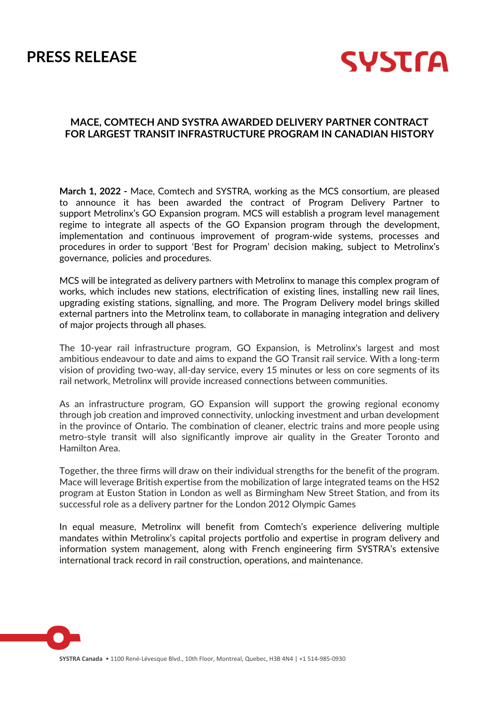# **PRESS RELEASE**



# **MACE, COMTECH AND SYSTRA AWARDED DELIVERY PARTNER CONTRACT FOR LARGEST TRANSIT INFRASTRUCTURE PROGRAM IN CANADIAN HISTORY**

**March 1, 2022 -** Mace, Comtech and SYSTRA, working as the MCS consortium, are pleased to announce it has been awarded the contract of Program Delivery Partner to support Metrolinx's GO Expansion program. MCS will establish a program level management regime to integrate all aspects of the GO Expansion program through the development, implementation and continuous improvement of program-wide systems, processes and procedures in order to support 'Best for Program' decision making, subject to Metrolinx's governance, policies and procedures.

MCS will be integrated as delivery partners with Metrolinx to manage this complex program of works, which includes new stations, electrification of existing lines, installing new rail lines, upgrading existing stations, signalling, and more. The Program Delivery model brings skilled external partners into the Metrolinx team, to collaborate in managing integration and delivery of major projects through all phases.

The 10-year rail infrastructure program, GO Expansion, is Metrolinx's largest and most ambitious endeavour to date and aims to expand the GO Transit rail service. With a long-term vision of providing two-way, all-day service, every 15 minutes or less on core segments of its rail network, Metrolinx will provide increased connections between communities.

As an infrastructure program, GO Expansion will support the growing regional economy through job creation and improved connectivity, unlocking investment and urban development in the province of Ontario. The combination of cleaner, electric trains and more people using metro-style transit will also significantly improve air quality in the Greater Toronto and Hamilton Area.

Together, the three firms will draw on their individual strengths for the benefit of the program. Mace will leverage British expertise from the mobilization of large integrated teams on the HS2 program at Euston Station in London as well as Birmingham New Street Station, and from its successful role as a delivery partner for the London 2012 Olympic Games

In equal measure, Metrolinx will benefit from Comtech's experience delivering multiple mandates within Metrolinx's capital projects portfolio and expertise in program delivery and information system management, along with French engineering firm SYSTRA's extensive international track record in rail construction, operations, and maintenance.

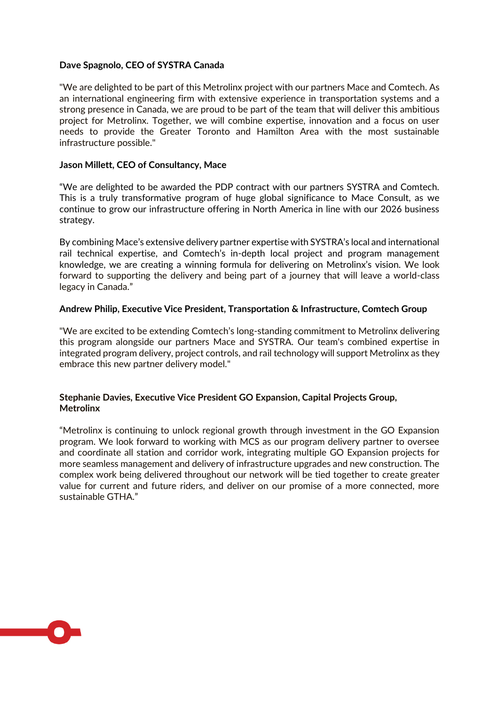## **Dave Spagnolo, CEO of SYSTRA Canada**

"We are delighted to be part of this Metrolinx project with our partners Mace and Comtech. As an international engineering firm with extensive experience in transportation systems and a strong presence in Canada, we are proud to be part of the team that will deliver this ambitious project for Metrolinx. Together, we will combine expertise, innovation and a focus on user needs to provide the Greater Toronto and Hamilton Area with the most sustainable infrastructure possible."

#### **Jason Millett, CEO of Consultancy, Mace**

"We are delighted to be awarded the PDP contract with our partners SYSTRA and Comtech. This is a truly transformative program of huge global significance to Mace Consult, as we continue to grow our infrastructure offering in North America in line with our 2026 business strategy.

By combining Mace's extensive delivery partner expertise with SYSTRA's local and international rail technical expertise, and Comtech's in-depth local project and program management knowledge, we are creating a winning formula for delivering on Metrolinx's vision. We look forward to supporting the delivery and being part of a journey that will leave a world-class legacy in Canada."

#### **Andrew Philip, Executive Vice President, Transportation & Infrastructure, Comtech Group**

"We are excited to be extending Comtech's long-standing commitment to Metrolinx delivering this program alongside our partners Mace and SYSTRA. Our team's combined expertise in integrated program delivery, project controls, and rail technology will support Metrolinx as they embrace this new partner delivery model."

# **Stephanie Davies, Executive Vice President GO Expansion, Capital Projects Group, Metrolinx**

"Metrolinx is continuing to unlock regional growth through investment in the GO Expansion program. We look forward to working with MCS as our program delivery partner to oversee and coordinate all station and corridor work, integrating multiple GO Expansion projects for more seamless management and delivery of infrastructure upgrades and new construction. The complex work being delivered throughout our network will be tied together to create greater value for current and future riders, and deliver on our promise of a more connected, more sustainable GTHA."